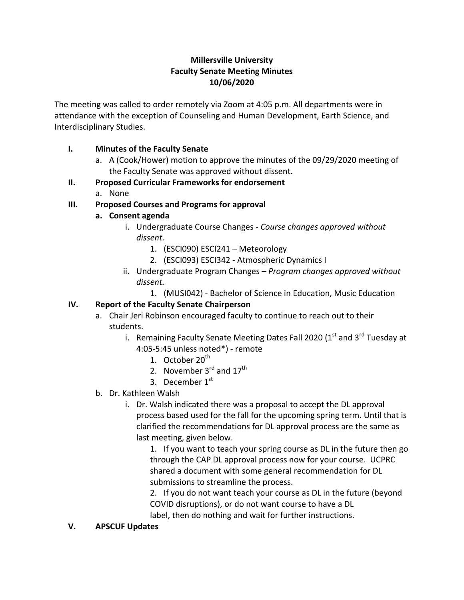## **Millersville University Faculty Senate Meeting Minutes 10/06/2020**

The meeting was called to order remotely via Zoom at 4:05 p.m. All departments were in attendance with the exception of Counseling and Human Development, Earth Science, and Interdisciplinary Studies.

### **I. Minutes of the Faculty Senate**

a. A (Cook/Hower) motion to approve the minutes of the 09/29/2020 meeting of the Faculty Senate was approved without dissent.

### **II. Proposed Curricular Frameworks for endorsement**

a. None

# **III. Proposed Courses and Programs for approval**

- **a. Consent agenda**
	- i. Undergraduate Course Changes *Course changes approved without dissent.*
		- 1. (ESCI090) ESCI241 Meteorology
		- 2. (ESCI093) ESCI342 Atmospheric Dynamics I
	- ii. Undergraduate Program Changes *Program changes approved without dissent.*
		- 1. (MUSI042) Bachelor of Science in Education, Music Education

# **IV. Report of the Faculty Senate Chairperson**

- a. Chair Jeri Robinson encouraged faculty to continue to reach out to their students.
	- i. Remaining Faculty Senate Meeting Dates Fall 2020 (1<sup>st</sup> and 3<sup>rd</sup> Tuesday at 4:05-5:45 unless noted\*) - remote
		- 1. October 20<sup>th</sup>
		- 2. November  $3<sup>rd</sup>$  and  $17<sup>th</sup>$
		- 3. December  $1<sup>st</sup>$
- b. Dr. Kathleen Walsh
	- i. Dr. Walsh indicated there was a proposal to accept the DL approval process based used for the fall for the upcoming spring term. Until that is clarified the recommendations for DL approval process are the same as last meeting, given below.

1. If you want to teach your spring course as DL in the future then go through the CAP DL approval process now for your course. UCPRC shared a document with some general recommendation for DL submissions to streamline the process.

2. If you do not want teach your course as DL in the future (beyond COVID disruptions), or do not want course to have a DL label, then do nothing and wait for further instructions.

#### **V. APSCUF Updates**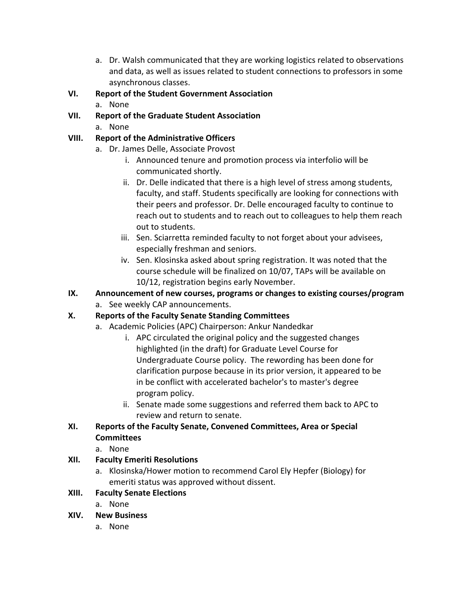a. Dr. Walsh communicated that they are working logistics related to observations and data, as well as issues related to student connections to professors in some asynchronous classes.

## **VI. Report of the Student Government Association**

- a. None
- **VII. Report of the Graduate Student Association**
	- a. None

### **VIII. Report of the Administrative Officers**

- a. Dr. James Delle, Associate Provost
	- i. Announced tenure and promotion process via interfolio will be communicated shortly.
	- ii. Dr. Delle indicated that there is a high level of stress among students, faculty, and staff. Students specifically are looking for connections with their peers and professor. Dr. Delle encouraged faculty to continue to reach out to students and to reach out to colleagues to help them reach out to students.
	- iii. Sen. Sciarretta reminded faculty to not forget about your advisees, especially freshman and seniors.
	- iv. Sen. Klosinska asked about spring registration. It was noted that the course schedule will be finalized on 10/07, TAPs will be available on 10/12, registration begins early November.
- **IX. Announcement of new courses, programs or changes to existing courses/program**
	- a. See weekly CAP announcements.

# **X. Reports of the Faculty Senate Standing Committees**

- a. Academic Policies (APC) Chairperson: Ankur Nandedkar
	- i. APC circulated the original policy and the suggested changes highlighted (in the draft) for Graduate Level Course for Undergraduate Course policy.  The rewording has been done for clarification purpose because in its prior version, it appeared to be in be conflict with accelerated bachelor's to master's degree program policy.
	- ii. Senate made some suggestions and referred them back to APC to review and return to senate.

# **XI. Reports of the Faculty Senate, Convened Committees, Area or Special Committees**

a. None

#### **XII. Faculty Emeriti Resolutions**

a. Klosinska/Hower motion to recommend Carol Ely Hepfer (Biology) for emeriti status was approved without dissent.

# **XIII. Faculty Senate Elections**

a. None

#### **XIV. New Business**

a. None